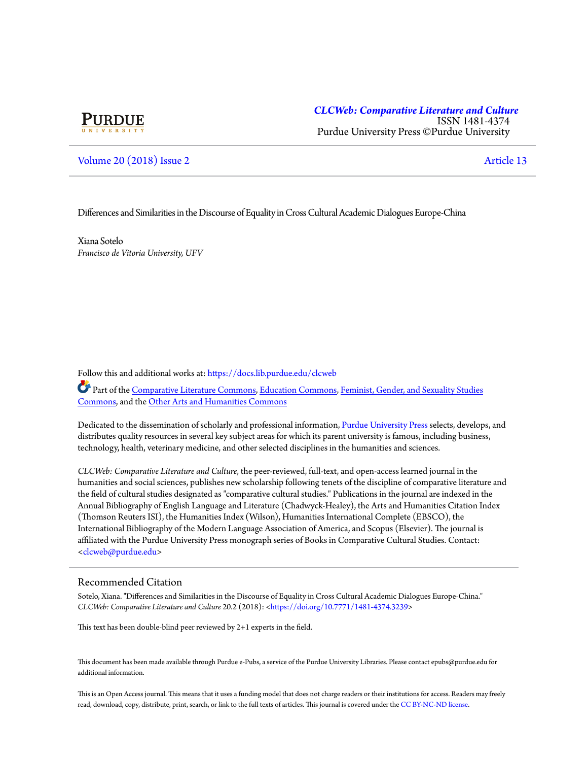# **PURDUE**

## *[CLCWeb: Comparative Literature and Culture](https://docs.lib.purdue.edu/clcweb?utm_source=docs.lib.purdue.edu%2Fclcweb%2Fvol20%2Fiss2%2F13&utm_medium=PDF&utm_campaign=PDFCoverPages)* ISSN 1481-4374 Purdue University Press ©Purdue University

# [Volume 20](https://docs.lib.purdue.edu/clcweb/vol20?utm_source=docs.lib.purdue.edu%2Fclcweb%2Fvol20%2Fiss2%2F13&utm_medium=PDF&utm_campaign=PDFCoverPages) [\(2018\) Issue 2](https://docs.lib.purdue.edu/clcweb/vol20/iss2?utm_source=docs.lib.purdue.edu%2Fclcweb%2Fvol20%2Fiss2%2F13&utm_medium=PDF&utm_campaign=PDFCoverPages) [Article 13](https://docs.lib.purdue.edu/clcweb/vol20/iss2/13?utm_source=docs.lib.purdue.edu%2Fclcweb%2Fvol20%2Fiss2%2F13&utm_medium=PDF&utm_campaign=PDFCoverPages)

### Differences and Similarities in the Discourse of Equality in Cross Cultural Academic Dialogues Europe-China

Xiana Sotelo *Francisco de Vitoria University, UFV*

Follow this and additional works at: [https://docs.lib.purdue.edu/clcweb](https://docs.lib.purdue.edu/clcweb?utm_source=docs.lib.purdue.edu%2Fclcweb%2Fvol20%2Fiss2%2F13&utm_medium=PDF&utm_campaign=PDFCoverPages)

Part of the [Comparative Literature Commons,](http://network.bepress.com/hgg/discipline/454?utm_source=docs.lib.purdue.edu%2Fclcweb%2Fvol20%2Fiss2%2F13&utm_medium=PDF&utm_campaign=PDFCoverPages) [Education Commons,](http://network.bepress.com/hgg/discipline/784?utm_source=docs.lib.purdue.edu%2Fclcweb%2Fvol20%2Fiss2%2F13&utm_medium=PDF&utm_campaign=PDFCoverPages) [Feminist, Gender, and Sexuality Studies](http://network.bepress.com/hgg/discipline/559?utm_source=docs.lib.purdue.edu%2Fclcweb%2Fvol20%2Fiss2%2F13&utm_medium=PDF&utm_campaign=PDFCoverPages) [Commons,](http://network.bepress.com/hgg/discipline/559?utm_source=docs.lib.purdue.edu%2Fclcweb%2Fvol20%2Fiss2%2F13&utm_medium=PDF&utm_campaign=PDFCoverPages) and the [Other Arts and Humanities Commons](http://network.bepress.com/hgg/discipline/577?utm_source=docs.lib.purdue.edu%2Fclcweb%2Fvol20%2Fiss2%2F13&utm_medium=PDF&utm_campaign=PDFCoverPages)

Dedicated to the dissemination of scholarly and professional information, [Purdue University Press](http://www.thepress.purdue.edu/) selects, develops, and distributes quality resources in several key subject areas for which its parent university is famous, including business, technology, health, veterinary medicine, and other selected disciplines in the humanities and sciences.

*CLCWeb: Comparative Literature and Culture*, the peer-reviewed, full-text, and open-access learned journal in the humanities and social sciences, publishes new scholarship following tenets of the discipline of comparative literature and the field of cultural studies designated as "comparative cultural studies." Publications in the journal are indexed in the Annual Bibliography of English Language and Literature (Chadwyck-Healey), the Arts and Humanities Citation Index (Thomson Reuters ISI), the Humanities Index (Wilson), Humanities International Complete (EBSCO), the International Bibliography of the Modern Language Association of America, and Scopus (Elsevier). The journal is affiliated with the Purdue University Press monograph series of Books in Comparative Cultural Studies. Contact: [<clcweb@purdue.edu](mailto:clcweb@purdue.edu)>

### Recommended Citation

Sotelo, Xiana. "Differences and Similarities in the Discourse of Equality in Cross Cultural Academic Dialogues Europe-China." *CLCWeb: Comparative Literature and Culture* 20.2 (2018): <[https://doi.org/10.7771/1481-4374.3239>](https://doi.org/10.7771/1481-4374.3239)

This text has been double-blind peer reviewed by 2+1 experts in the field.

This document has been made available through Purdue e-Pubs, a service of the Purdue University Libraries. Please contact epubs@purdue.edu for additional information.

This is an Open Access journal. This means that it uses a funding model that does not charge readers or their institutions for access. Readers may freely read, download, copy, distribute, print, search, or link to the full texts of articles. This journal is covered under the [CC BY-NC-ND license.](https://creativecommons.org/licenses/by-nc-nd/4.0/)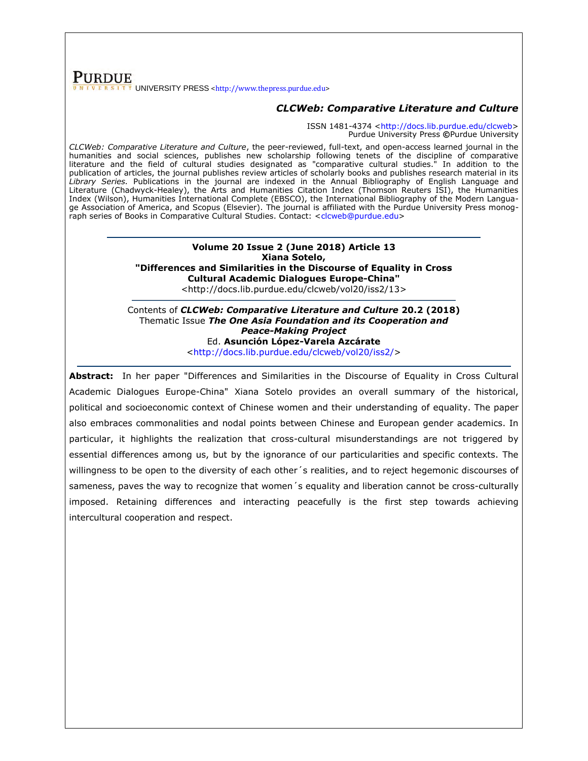# **PURDUE** UNIVERSITY PRESS [<http://www.thepress.purdue.edu>](http://www.thepress.purdue.edu/)

# *CLCWeb: Comparative Literature and Culture*

ISSN 1481-4374 [<http://docs.lib.purdue.edu/clcweb>](http://docs.lib.purdue.edu/clcweb) Purdue University Press **©**Purdue University

*CLCWeb: Comparative Literature and Culture*, the peer-reviewed, full-text, and open-access learned journal in the humanities and social sciences, publishes new scholarship following tenets of the discipline of comparative literature and the field of cultural studies designated as "comparative cultural studies." In addition to the publication of articles, the journal publishes review articles of scholarly books and publishes research material in its *Library Series.* Publications in the journal are indexed in the Annual Bibliography of English Language and Literature (Chadwyck-Healey), the Arts and Humanities Citation Index (Thomson Reuters ISI), the Humanities Index (Wilson), Humanities International Complete (EBSCO), the International Bibliography of the Modern Language Association of America, and Scopus (Elsevier). The journal is affiliated with the Purdue University Press monog-raph series of Books in Comparative Cultural Studies. Contact: [<clcweb@purdue.edu>](mailto:clcweb@purdue.edu)

> **Volume 20 Issue 2 (June 2018) Article 13 Xiana Sotelo, "Differences and Similarities in the Discourse of Equality in Cross Cultural Academic Dialogues Europe-China"** <http://docs.lib.purdue.edu/clcweb/vol20/iss2/13>

Contents of *CLCWeb: Comparative Literature and Culture* **20.2 (2018)** Thematic Issue *The One Asia Foundation and its Cooperation and Peace-Making Project* Ed. **Asunción López-Varela Azcárate** [<http://docs.lib.purdue.edu/clcweb/vol20/iss2/>](http://docs.lib.purdue.edu/clcweb/vol20/iss2/)

**Abstract:** In her paper "Differences and Similarities in the Discourse of Equality in Cross Cultural Academic Dialogues Europe-China" Xiana Sotelo provides an overall summary of the historical, political and socioeconomic context of Chinese women and their understanding of equality. The paper also embraces commonalities and nodal points between Chinese and European gender academics. In particular, it highlights the realization that cross-cultural misunderstandings are not triggered by essential differences among us, but by the ignorance of our particularities and specific contexts. The willingness to be open to the diversity of each other´s realities, and to reject hegemonic discourses of sameness, paves the way to recognize that women's equality and liberation cannot be cross-culturally imposed. Retaining differences and interacting peacefully is the first step towards achieving intercultural cooperation and respect.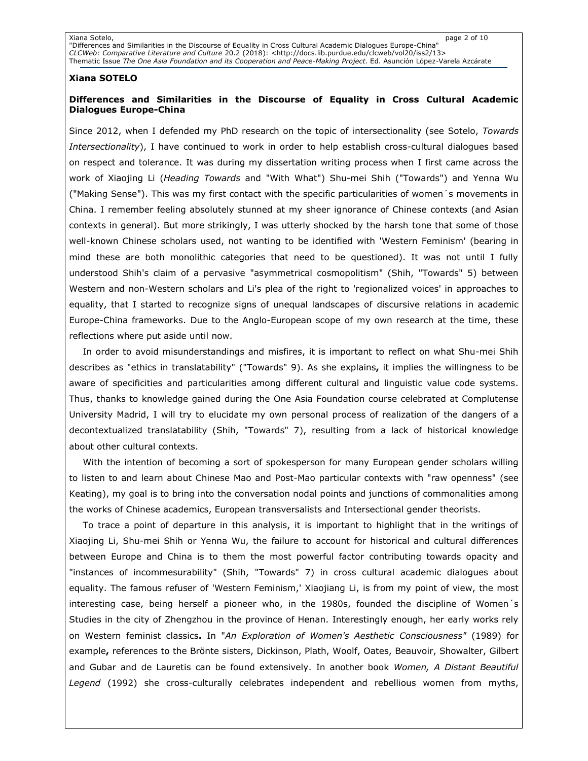Xiana Sotelo, page 2 of 10 "Differences and Similarities in the Discourse of Equality in Cross Cultural Academic Dialogues Europe-China" *CLCWeb: Comparative Literature and Culture* 20.2 (2018): [<http://docs.lib.purdue.edu/clcweb/vol20/iss2/13>](http://docs.lib.purdue.edu/clcweb/vol20/iss2/13%3e) Thematic Issue *The One Asia Foundation and its Cooperation and Peace-Making Project.* Ed. Asunción López-Varela Azcárate

### **Xiana SOTELO**

# **Differences and Similarities in the Discourse of Equality in Cross Cultural Academic Dialogues Europe-China**

Since 2012, when I defended my PhD research on the topic of intersectionality (see Sotelo, *Towards Intersectionality*), I have continued to work in order to help establish cross-cultural dialogues based on respect and tolerance. It was during my dissertation writing process when I first came across the work of Xiaojing Li (*Heading Towards* and "With What") Shu-mei Shih ("Towards") and Yenna Wu ("Making Sense"). This was my first contact with the specific particularities of women´s movements in China. I remember feeling absolutely stunned at my sheer ignorance of Chinese contexts (and Asian contexts in general). But more strikingly, I was utterly shocked by the harsh tone that some of those well-known Chinese scholars used, not wanting to be identified with 'Western Feminism' (bearing in mind these are both monolithic categories that need to be questioned). It was not until I fully understood Shih's claim of a pervasive "asymmetrical cosmopolitism" (Shih, "Towards" 5) between Western and non-Western scholars and Li's plea of the right to 'regionalized voices' in approaches to equality, that I started to recognize signs of unequal landscapes of discursive relations in academic Europe-China frameworks. Due to the Anglo-European scope of my own research at the time, these reflections where put aside until now.

In order to avoid misunderstandings and misfires, it is important to reflect on what Shu-mei Shih describes as "ethics in translatability" ("Towards" 9). As she explains**,** it implies the willingness to be aware of specificities and particularities among different cultural and linguistic value code systems. Thus, thanks to knowledge gained during the One Asia Foundation course celebrated at Complutense University Madrid, I will try to elucidate my own personal process of realization of the dangers of a decontextualized translatability (Shih, "Towards" 7), resulting from a lack of historical knowledge about other cultural contexts.

With the intention of becoming a sort of spokesperson for many European gender scholars willing to listen to and learn about Chinese Mao and Post-Mao particular contexts with "raw openness" (see Keating), my goal is to bring into the conversation nodal points and junctions of commonalities among the works of Chinese academics, European transversalists and Intersectional gender theorists.

To trace a point of departure in this analysis, it is important to highlight that in the writings of Xiaojing Li, Shu-mei Shih or Yenna Wu, the failure to account for historical and cultural differences between Europe and China is to them the most powerful factor contributing towards opacity and "instances of incommesurability" (Shih, "Towards" 7) in cross cultural academic dialogues about equality. The famous refuser of 'Western Feminism,' Xiaojiang Li, is from my point of view, the most interesting case, being herself a pioneer who, in the 1980s, founded the discipline of Women´s Studies in the city of Zhengzhou in the province of Henan. Interestingly enough, her early works rely on Western feminist classics**.** In "*An Exploration of Women's Aesthetic Consciousness"* (1989) for example**,** references to the Brönte sisters, Dickinson, Plath, Woolf, Oates, Beauvoir, Showalter, Gilbert and Gubar and de Lauretis can be found extensively. In another book *Women, A Distant Beautiful Legend* (1992) she cross-culturally celebrates independent and rebellious women from myths,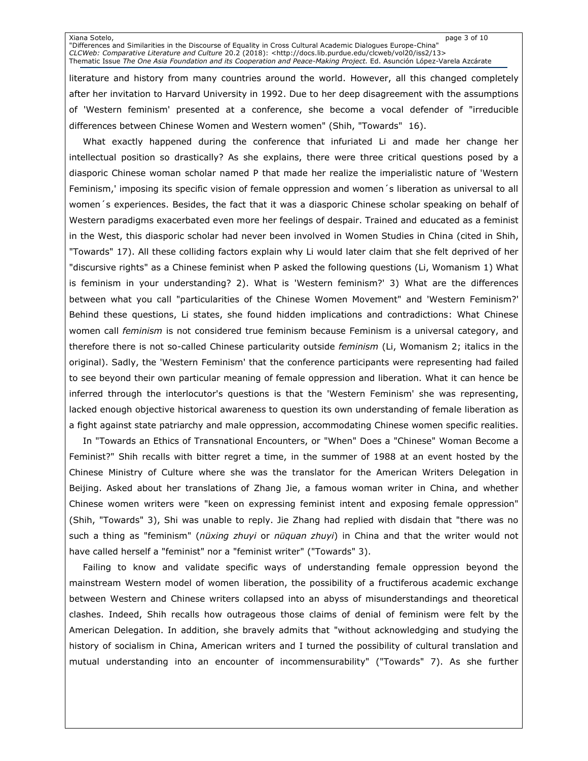Xiana Sotelo, page 3 of 10 "Differences and Similarities in the Discourse of Equality in Cross Cultural Academic Dialogues Europe-China" *CLCWeb: Comparative Literature and Culture* 20.2 (2018): [<http://docs.lib.purdue.edu/clcweb/vol20/iss2/13>](http://docs.lib.purdue.edu/clcweb/vol20/iss2/13%3e) Thematic Issue *The One Asia Foundation and its Cooperation and Peace-Making Project.* Ed. Asunción López-Varela Azcárate

literature and history from many countries around the world. However, all this changed completely after her invitation to Harvard University in 1992. Due to her deep disagreement with the assumptions of 'Western feminism' presented at a conference, she become a vocal defender of "irreducible differences between Chinese Women and Western women" (Shih, "Towards" 16).

What exactly happened during the conference that infuriated Li and made her change her intellectual position so drastically? As she explains, there were three critical questions posed by a diasporic Chinese woman scholar named P that made her realize the imperialistic nature of 'Western Feminism,' imposing its specific vision of female oppression and women´s liberation as universal to all women´s experiences. Besides, the fact that it was a diasporic Chinese scholar speaking on behalf of Western paradigms exacerbated even more her feelings of despair. Trained and educated as a feminist in the West, this diasporic scholar had never been involved in Women Studies in China (cited in Shih, "Towards" 17). All these colliding factors explain why Li would later claim that she felt deprived of her "discursive rights" as a Chinese feminist when P asked the following questions (Li, Womanism 1) What is feminism in your understanding? 2). What is 'Western feminism?' 3) What are the differences between what you call "particularities of the Chinese Women Movement" and 'Western Feminism?' Behind these questions, Li states, she found hidden implications and contradictions: What Chinese women call *feminism* is not considered true feminism because Feminism is a universal category, and therefore there is not so-called Chinese particularity outside *feminism* (Li, Womanism 2; italics in the original). Sadly, the 'Western Feminism' that the conference participants were representing had failed to see beyond their own particular meaning of female oppression and liberation. What it can hence be inferred through the interlocutor's questions is that the 'Western Feminism' she was representing, lacked enough objective historical awareness to question its own understanding of female liberation as a fight against state patriarchy and male oppression, accommodating Chinese women specific realities.

In "Towards an Ethics of Transnational Encounters, or "When" Does a "Chinese" Woman Become a Feminist?" Shih recalls with bitter regret a time, in the summer of 1988 at an event hosted by the Chinese Ministry of Culture where she was the translator for the American Writers Delegation in Beijing. Asked about her translations of Zhang Jie, a famous woman writer in China, and whether Chinese women writers were "keen on expressing feminist intent and exposing female oppression" (Shih, "Towards" 3), Shi was unable to reply. Jie Zhang had replied with disdain that "there was no such a thing as "feminism" (*nüxing zhuyi* or *nüquan zhuyi*) in China and that the writer would not have called herself a "feminist" nor a "feminist writer" ("Towards" 3).

Failing to know and validate specific ways of understanding female oppression beyond the mainstream Western model of women liberation, the possibility of a fructiferous academic exchange between Western and Chinese writers collapsed into an abyss of misunderstandings and theoretical clashes. Indeed, Shih recalls how outrageous those claims of denial of feminism were felt by the American Delegation. In addition, she bravely admits that "without acknowledging and studying the history of socialism in China, American writers and I turned the possibility of cultural translation and mutual understanding into an encounter of incommensurability" ("Towards" 7). As she further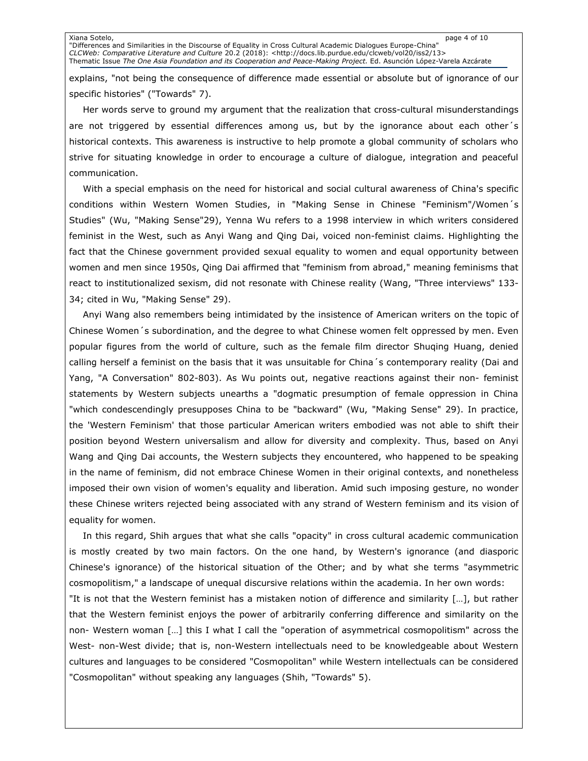Xiana Sotelo, page 4 of 10 "Differences and Similarities in the Discourse of Equality in Cross Cultural Academic Dialogues Europe-China" *CLCWeb: Comparative Literature and Culture* 20.2 (2018): [<http://docs.lib.purdue.edu/clcweb/vol20/iss2/13>](http://docs.lib.purdue.edu/clcweb/vol20/iss2/13%3e) Thematic Issue *The One Asia Foundation and its Cooperation and Peace-Making Project.* Ed. Asunción López-Varela Azcárate

explains, "not being the consequence of difference made essential or absolute but of ignorance of our specific histories" ("Towards" 7).

Her words serve to ground my argument that the realization that cross-cultural misunderstandings are not triggered by essential differences among us, but by the ignorance about each other´s historical contexts. This awareness is instructive to help promote a global community of scholars who strive for situating knowledge in order to encourage a culture of dialogue, integration and peaceful communication.

With a special emphasis on the need for historical and social cultural awareness of China's specific conditions within Western Women Studies, in "Making Sense in Chinese "Feminism"/Women´s Studies" (Wu, "Making Sense"29), Yenna Wu refers to a 1998 interview in which writers considered feminist in the West, such as Anyi Wang and Qing Dai, voiced non-feminist claims. Highlighting the fact that the Chinese government provided sexual equality to women and equal opportunity between women and men since 1950s, Qing Dai affirmed that "feminism from abroad," meaning feminisms that react to institutionalized sexism, did not resonate with Chinese reality (Wang, "Three interviews" 133- 34; cited in Wu, "Making Sense" 29).

Anyi Wang also remembers being intimidated by the insistence of American writers on the topic of Chinese Women´s subordination, and the degree to what Chinese women felt oppressed by men. Even popular figures from the world of culture, such as the female film director Shuqing Huang, denied calling herself a feminist on the basis that it was unsuitable for China´s contemporary reality (Dai and Yang, "A Conversation" 802-803). As Wu points out, negative reactions against their non- feminist statements by Western subjects unearths a "dogmatic presumption of female oppression in China "which condescendingly presupposes China to be "backward" (Wu, "Making Sense" 29). In practice, the 'Western Feminism' that those particular American writers embodied was not able to shift their position beyond Western universalism and allow for diversity and complexity. Thus, based on Anyi Wang and Qing Dai accounts, the Western subjects they encountered, who happened to be speaking in the name of feminism, did not embrace Chinese Women in their original contexts, and nonetheless imposed their own vision of women's equality and liberation. Amid such imposing gesture, no wonder these Chinese writers rejected being associated with any strand of Western feminism and its vision of equality for women.

In this regard, Shih argues that what she calls "opacity" in cross cultural academic communication is mostly created by two main factors. On the one hand, by Western's ignorance (and diasporic Chinese's ignorance) of the historical situation of the Other; and by what she terms "asymmetric cosmopolitism," a landscape of unequal discursive relations within the academia. In her own words: "It is not that the Western feminist has a mistaken notion of difference and similarity […], but rather that the Western feminist enjoys the power of arbitrarily conferring difference and similarity on the non- Western woman […] this I what I call the "operation of asymmetrical cosmopolitism" across the West- non-West divide; that is, non-Western intellectuals need to be knowledgeable about Western cultures and languages to be considered "Cosmopolitan" while Western intellectuals can be considered "Cosmopolitan" without speaking any languages (Shih, "Towards" 5).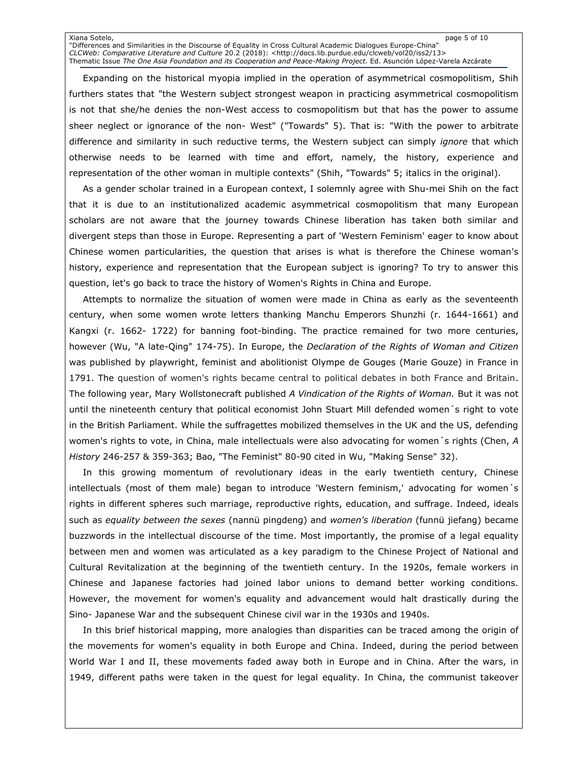Xiana Sotelo, page 5 of 10 "Differences and Similarities in the Discourse of Equality in Cross Cultural Academic Dialogues Europe-China" *CLCWeb: Comparative Literature and Culture* 20.2 (2018): [<http://docs.lib.purdue.edu/clcweb/vol20/iss2/13>](http://docs.lib.purdue.edu/clcweb/vol20/iss2/13%3e) Thematic Issue *The One Asia Foundation and its Cooperation and Peace-Making Project.* Ed. Asunción López-Varela Azcárate

Expanding on the historical myopia implied in the operation of asymmetrical cosmopolitism, Shih furthers states that "the Western subject strongest weapon in practicing asymmetrical cosmopolitism is not that she/he denies the non-West access to cosmopolitism but that has the power to assume sheer neglect or ignorance of the non- West" ("Towards" 5). That is: "With the power to arbitrate difference and similarity in such reductive terms, the Western subject can simply *ignore* that which otherwise needs to be learned with time and effort, namely, the history, experience and representation of the other woman in multiple contexts" (Shih, "Towards" 5; italics in the original).

As a gender scholar trained in a European context, I solemnly agree with Shu-mei Shih on the fact that it is due to an institutionalized academic asymmetrical cosmopolitism that many European scholars are not aware that the journey towards Chinese liberation has taken both similar and divergent steps than those in Europe. Representing a part of 'Western Feminism' eager to know about Chinese women particularities, the question that arises is what is therefore the Chinese woman's history, experience and representation that the European subject is ignoring? To try to answer this question, let's go back to trace the history of Women's Rights in China and Europe.

Attempts to normalize the situation of women were made in China as early as the seventeenth century, when some women wrote letters thanking Manchu Emperors Shunzhi (r. 1644-1661) and Kangxi (r. 1662- 1722) for banning foot-binding. The practice remained for two more centuries, however (Wu, "A late-Qing" 174-75). In Europe, the *Declaration of the Rights of Woman and Citizen*  was published by playwright, feminist and abolitionist Olympe de Gouges (Marie Gouze) in France in 1791. The question of women's rights became central to political debates in both France and Britain. The following year, Mary Wollstonecraft published *A Vindication of the Rights of Woman.* But it was not until the nineteenth century that political economist John Stuart Mill defended women´s right to vote in the British Parliament. While the suffragettes mobilized themselves in the UK and the US, defending women's rights to vote, in China, male intellectuals were also advocating for women´s rights (Chen, *A History* 246-257 & 359-363; Bao, "The Feminist" 80-90 cited in Wu, "Making Sense" 32).

In this growing momentum of revolutionary ideas in the early twentieth century, Chinese intellectuals (most of them male) began to introduce 'Western feminism,' advocating for women´s rights in different spheres such marriage, reproductive rights, education, and suffrage. Indeed, ideals such as *equality between the sexes* (nannü pingdeng) and *women's liberation* (funnü jiefang) became buzzwords in the intellectual discourse of the time. Most importantly, the promise of a legal equality between men and women was articulated as a key paradigm to the Chinese Project of National and Cultural Revitalization at the beginning of the twentieth century. In the 1920s, female workers in Chinese and Japanese factories had joined labor unions to demand better working conditions. However, the movement for women's equality and advancement would halt drastically during the Sino- Japanese War and the subsequent Chinese civil war in the 1930s and 1940s.

In this brief historical mapping, more analogies than disparities can be traced among the origin of the movements for women's equality in both Europe and China. Indeed, during the period between World War I and II, these movements faded away both in Europe and in China. After the wars, in 1949, different paths were taken in the quest for legal equality. In China, the communist takeover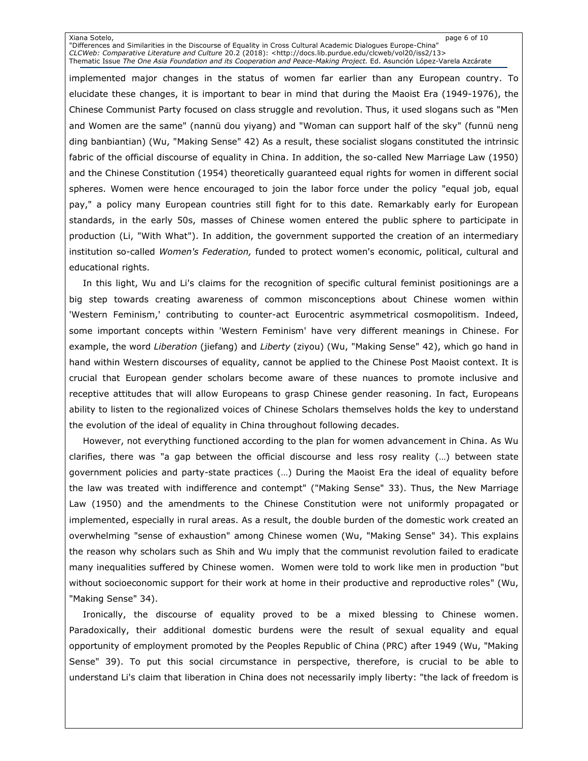Xiana Sotelo, page 6 of 10 "Differences and Similarities in the Discourse of Equality in Cross Cultural Academic Dialogues Europe-China" *CLCWeb: Comparative Literature and Culture* 20.2 (2018): [<http://docs.lib.purdue.edu/clcweb/vol20/iss2/13>](http://docs.lib.purdue.edu/clcweb/vol20/iss2/13%3e) Thematic Issue *The One Asia Foundation and its Cooperation and Peace-Making Project.* Ed. Asunción López-Varela Azcárate

implemented major changes in the status of women far earlier than any European country. To elucidate these changes, it is important to bear in mind that during the Maoist Era (1949-1976), the Chinese Communist Party focused on class struggle and revolution. Thus, it used slogans such as "Men and Women are the same" (nannü dou yiyang) and "Woman can support half of the sky" (funnü neng ding banbiantian) (Wu, "Making Sense" 42) As a result, these socialist slogans constituted the intrinsic fabric of the official discourse of equality in China. In addition, the so-called New Marriage Law (1950) and the Chinese Constitution (1954) theoretically guaranteed equal rights for women in different social spheres. Women were hence encouraged to join the labor force under the policy "equal job, equal pay," a policy many European countries still fight for to this date. Remarkably early for European standards, in the early 50s, masses of Chinese women entered the public sphere to participate in production (Li, "With What"). In addition, the government supported the creation of an intermediary institution so-called *Women's Federation,* funded to protect women's economic, political, cultural and educational rights.

In this light, Wu and Li's claims for the recognition of specific cultural feminist positionings are a big step towards creating awareness of common misconceptions about Chinese women within 'Western Feminism,' contributing to counter-act Eurocentric asymmetrical cosmopolitism. Indeed, some important concepts within 'Western Feminism' have very different meanings in Chinese. For example, the word *Liberation* (jiefang) and *Liberty* (ziyou) (Wu, "Making Sense" 42), which go hand in hand within Western discourses of equality, cannot be applied to the Chinese Post Maoist context. It is crucial that European gender scholars become aware of these nuances to promote inclusive and receptive attitudes that will allow Europeans to grasp Chinese gender reasoning. In fact, Europeans ability to listen to the regionalized voices of Chinese Scholars themselves holds the key to understand the evolution of the ideal of equality in China throughout following decades.

However, not everything functioned according to the plan for women advancement in China. As Wu clarifies, there was "a gap between the official discourse and less rosy reality (…) between state government policies and party-state practices (…) During the Maoist Era the ideal of equality before the law was treated with indifference and contempt" ("Making Sense" 33). Thus, the New Marriage Law (1950) and the amendments to the Chinese Constitution were not uniformly propagated or implemented, especially in rural areas. As a result, the double burden of the domestic work created an overwhelming "sense of exhaustion" among Chinese women (Wu, "Making Sense" 34). This explains the reason why scholars such as Shih and Wu imply that the communist revolution failed to eradicate many inequalities suffered by Chinese women. Women were told to work like men in production "but without socioeconomic support for their work at home in their productive and reproductive roles" (Wu, "Making Sense" 34).

Ironically, the discourse of equality proved to be a mixed blessing to Chinese women. Paradoxically, their additional domestic burdens were the result of sexual equality and equal opportunity of employment promoted by the Peoples Republic of China (PRC) after 1949 (Wu, "Making Sense" 39). To put this social circumstance in perspective, therefore, is crucial to be able to understand Li's claim that liberation in China does not necessarily imply liberty: "the lack of freedom is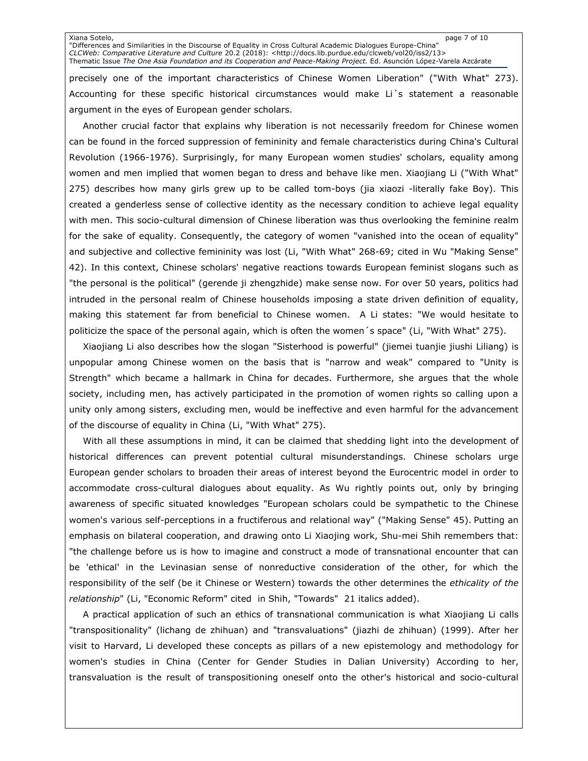Xiana Sotelo, page 7 of 10 "Differences and Similarities in the Discourse of Equality in Cross Cultural Academic Dialogues Europe-China" *CLCWeb: Comparative Literature and Culture* 20.2 (2018): [<http://docs.lib.purdue.edu/clcweb/vol20/iss2/13>](http://docs.lib.purdue.edu/clcweb/vol20/iss2/13%3e) Thematic Issue *The One Asia Foundation and its Cooperation and Peace-Making Project.* Ed. Asunción López-Varela Azcárate

precisely one of the important characteristics of Chinese Women Liberation" ("With What" 273). Accounting for these specific historical circumstances would make Li´s statement a reasonable argument in the eyes of European gender scholars.

Another crucial factor that explains why liberation is not necessarily freedom for Chinese women can be found in the forced suppression of femininity and female characteristics during China's Cultural Revolution (1966-1976). Surprisingly, for many European women studies' scholars, equality among women and men implied that women began to dress and behave like men. Xiaojiang Li ("With What" 275) describes how many girls grew up to be called tom-boys (jia xiaozi -literally fake Boy). This created a genderless sense of collective identity as the necessary condition to achieve legal equality with men. This socio-cultural dimension of Chinese liberation was thus overlooking the feminine realm for the sake of equality. Consequently, the category of women "vanished into the ocean of equality" and subjective and collective femininity was lost (Li, "With What" 268-69; cited in Wu "Making Sense" 42). In this context, Chinese scholars' negative reactions towards European feminist slogans such as "the personal is the political" (gerende ji zhengzhide) make sense now. For over 50 years, politics had intruded in the personal realm of Chinese households imposing a state driven definition of equality, making this statement far from beneficial to Chinese women. A Li states: "We would hesitate to politicize the space of the personal again, which is often the women´s space" (Li, "With What" 275).

Xiaojiang Li also describes how the slogan "Sisterhood is powerful" (jiemei tuanjie jiushi Liliang) is unpopular among Chinese women on the basis that is "narrow and weak" compared to "Unity is Strength" which became a hallmark in China for decades. Furthermore, she argues that the whole society, including men, has actively participated in the promotion of women rights so calling upon a unity only among sisters, excluding men, would be ineffective and even harmful for the advancement of the discourse of equality in China (Li, "With What" 275).

With all these assumptions in mind, it can be claimed that shedding light into the development of historical differences can prevent potential cultural misunderstandings. Chinese scholars urge European gender scholars to broaden their areas of interest beyond the Eurocentric model in order to accommodate cross-cultural dialogues about equality. As Wu rightly points out, only by bringing awareness of specific situated knowledges "European scholars could be sympathetic to the Chinese women's various self-perceptions in a fructiferous and relational way" ("Making Sense" 45). Putting an emphasis on bilateral cooperation, and drawing onto Li Xiaojing work, Shu-mei Shih remembers that: "the challenge before us is how to imagine and construct a mode of transnational encounter that can be 'ethical' in the Levinasian sense of nonreductive consideration of the other, for which the responsibility of the self (be it Chinese or Western) towards the other determines the *ethicality of the relationship*" (Li, "Economic Reform" cited in Shih, "Towards" 21 italics added).

A practical application of such an ethics of transnational communication is what Xiaojiang Li calls "transpositionality" (lichang de zhihuan) and "transvaluations" (jiazhi de zhihuan) (1999). After her visit to Harvard, Li developed these concepts as pillars of a new epistemology and methodology for women's studies in China (Center for Gender Studies in Dalian University) According to her, transvaluation is the result of transpositioning oneself onto the other's historical and socio-cultural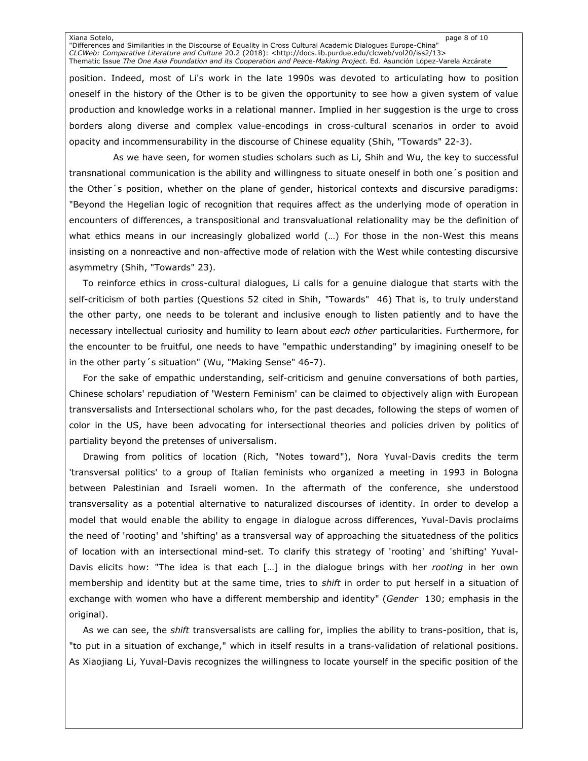Xiana Sotelo, page 8 of 10 "Differences and Similarities in the Discourse of Equality in Cross Cultural Academic Dialogues Europe-China" *CLCWeb: Comparative Literature and Culture* 20.2 (2018): [<http://docs.lib.purdue.edu/clcweb/vol20/iss2/13>](http://docs.lib.purdue.edu/clcweb/vol20/iss2/13%3e) Thematic Issue *The One Asia Foundation and its Cooperation and Peace-Making Project.* Ed. Asunción López-Varela Azcárate

position. Indeed, most of Li's work in the late 1990s was devoted to articulating how to position oneself in the history of the Other is to be given the opportunity to see how a given system of value production and knowledge works in a relational manner. Implied in her suggestion is the urge to cross borders along diverse and complex value-encodings in cross-cultural scenarios in order to avoid opacity and incommensurability in the discourse of Chinese equality (Shih, "Towards" 22-3).

 As we have seen, for women studies scholars such as Li, Shih and Wu, the key to successful transnational communication is the ability and willingness to situate oneself in both one´s position and the Other´s position, whether on the plane of gender, historical contexts and discursive paradigms: "Beyond the Hegelian logic of recognition that requires affect as the underlying mode of operation in encounters of differences, a transpositional and transvaluational relationality may be the definition of what ethics means in our increasingly globalized world (...) For those in the non-West this means insisting on a nonreactive and non-affective mode of relation with the West while contesting discursive asymmetry (Shih, "Towards" 23).

To reinforce ethics in cross-cultural dialogues, Li calls for a genuine dialogue that starts with the self-criticism of both parties (Questions 52 cited in Shih, "Towards" 46) That is, to truly understand the other party, one needs to be tolerant and inclusive enough to listen patiently and to have the necessary intellectual curiosity and humility to learn about *each other* particularities. Furthermore, for the encounter to be fruitful, one needs to have "empathic understanding" by imagining oneself to be in the other party´s situation" (Wu, "Making Sense" 46-7).

For the sake of empathic understanding, self-criticism and genuine conversations of both parties, Chinese scholars' repudiation of 'Western Feminism' can be claimed to objectively align with European transversalists and Intersectional scholars who, for the past decades, following the steps of women of color in the US, have been advocating for intersectional theories and policies driven by politics of partiality beyond the pretenses of universalism.

Drawing from politics of location (Rich, "Notes toward"), Nora Yuval-Davis credits the term 'transversal politics' to a group of Italian feminists who organized a meeting in 1993 in Bologna between Palestinian and Israeli women. In the aftermath of the conference, she understood transversality as a potential alternative to naturalized discourses of identity. In order to develop a model that would enable the ability to engage in dialogue across differences, Yuval-Davis proclaims the need of 'rooting' and 'shifting' as a transversal way of approaching the situatedness of the politics of location with an intersectional mind-set. To clarify this strategy of 'rooting' and 'shifting' Yuval-Davis elicits how: "The idea is that each […] in the dialogue brings with her *rooting* in her own membership and identity but at the same time, tries to *shift* in order to put herself in a situation of exchange with women who have a different membership and identity" (*Gender* 130; emphasis in the original).

As we can see, the *shift* transversalists are calling for, implies the ability to trans-position, that is, "to put in a situation of exchange," which in itself results in a trans-validation of relational positions. As Xiaojiang Li, Yuval-Davis recognizes the willingness to locate yourself in the specific position of the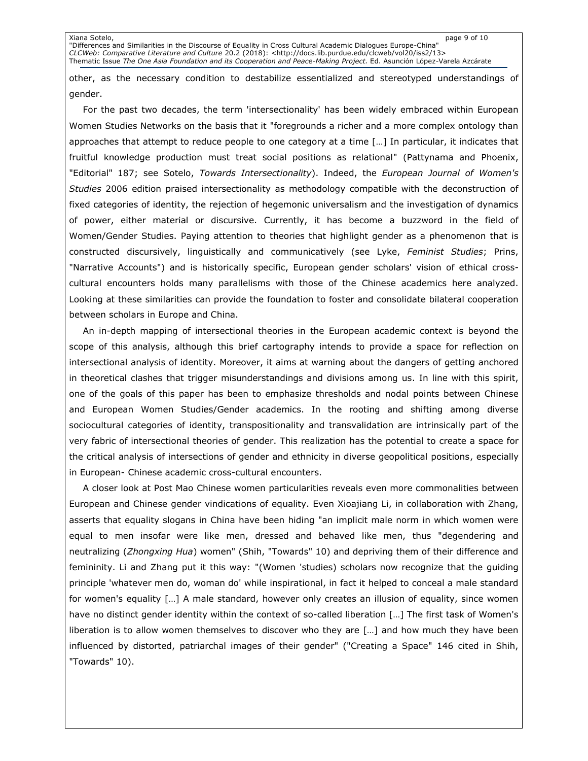Xiana Sotelo, page 9 of 10 "Differences and Similarities in the Discourse of Equality in Cross Cultural Academic Dialogues Europe-China" *CLCWeb: Comparative Literature and Culture* 20.2 (2018): [<http://docs.lib.purdue.edu/clcweb/vol20/iss2/13>](http://docs.lib.purdue.edu/clcweb/vol20/iss2/13%3e) Thematic Issue *The One Asia Foundation and its Cooperation and Peace-Making Project.* Ed. Asunción López-Varela Azcárate

other, as the necessary condition to destabilize essentialized and stereotyped understandings of gender.

For the past two decades, the term 'intersectionality' has been widely embraced within European Women Studies Networks on the basis that it "foregrounds a richer and a more complex ontology than approaches that attempt to reduce people to one category at a time […] In particular, it indicates that fruitful knowledge production must treat social positions as relational" (Pattynama and Phoenix, "Editorial" 187; see Sotelo, *Towards Intersectionality*). Indeed, the *European Journal of Women's Studies* 2006 edition praised intersectionality as methodology compatible with the deconstruction of fixed categories of identity, the rejection of hegemonic universalism and the investigation of dynamics of power, either material or discursive. Currently, it has become a buzzword in the field of Women/Gender Studies. Paying attention to theories that highlight gender as a phenomenon that is constructed discursively, linguistically and communicatively (see Lyke, *Feminist Studies*; Prins, "Narrative Accounts") and is historically specific, European gender scholars' vision of ethical crosscultural encounters holds many parallelisms with those of the Chinese academics here analyzed. Looking at these similarities can provide the foundation to foster and consolidate bilateral cooperation between scholars in Europe and China.

An in-depth mapping of intersectional theories in the European academic context is beyond the scope of this analysis, although this brief cartography intends to provide a space for reflection on intersectional analysis of identity. Moreover, it aims at warning about the dangers of getting anchored in theoretical clashes that trigger misunderstandings and divisions among us. In line with this spirit, one of the goals of this paper has been to emphasize thresholds and nodal points between Chinese and European Women Studies/Gender academics. In the rooting and shifting among diverse sociocultural categories of identity, transpositionality and transvalidation are intrinsically part of the very fabric of intersectional theories of gender. This realization has the potential to create a space for the critical analysis of intersections of gender and ethnicity in diverse geopolitical positions, especially in European- Chinese academic cross-cultural encounters.

A closer look at Post Mao Chinese women particularities reveals even more commonalities between European and Chinese gender vindications of equality. Even Xioajiang Li, in collaboration with Zhang, asserts that equality slogans in China have been hiding "an implicit male norm in which women were equal to men insofar were like men, dressed and behaved like men, thus "degendering and neutralizing (*Zhongxing Hua*) women" (Shih, "Towards" 10) and depriving them of their difference and femininity. Li and Zhang put it this way: "(Women 'studies) scholars now recognize that the guiding principle 'whatever men do, woman do' while inspirational, in fact it helped to conceal a male standard for women's equality […] A male standard, however only creates an illusion of equality, since women have no distinct gender identity within the context of so-called liberation […] The first task of Women's liberation is to allow women themselves to discover who they are […] and how much they have been influenced by distorted, patriarchal images of their gender" ("Creating a Space" 146 cited in Shih, "Towards" 10).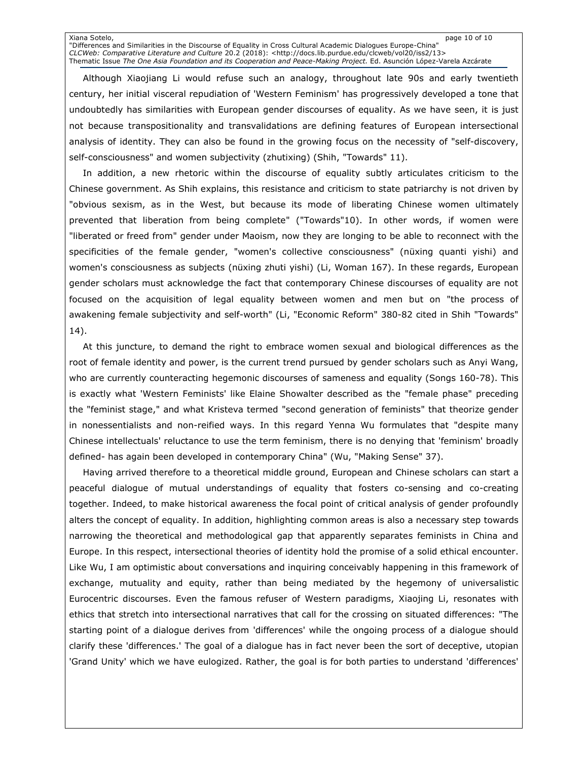Xiana Sotelo, page 10 of 10 "Differences and Similarities in the Discourse of Equality in Cross Cultural Academic Dialogues Europe-China" *CLCWeb: Comparative Literature and Culture* 20.2 (2018): [<http://docs.lib.purdue.edu/clcweb/vol20/iss2/13>](http://docs.lib.purdue.edu/clcweb/vol20/iss2/13%3e) Thematic Issue *The One Asia Foundation and its Cooperation and Peace-Making Project.* Ed. Asunción López-Varela Azcárate

Although Xiaojiang Li would refuse such an analogy, throughout late 90s and early twentieth century, her initial visceral repudiation of 'Western Feminism' has progressively developed a tone that undoubtedly has similarities with European gender discourses of equality. As we have seen, it is just not because transpositionality and transvalidations are defining features of European intersectional analysis of identity. They can also be found in the growing focus on the necessity of "self-discovery, self-consciousness" and women subjectivity (zhutixing) (Shih, "Towards" 11).

In addition, a new rhetoric within the discourse of equality subtly articulates criticism to the Chinese government. As Shih explains, this resistance and criticism to state patriarchy is not driven by "obvious sexism, as in the West, but because its mode of liberating Chinese women ultimately prevented that liberation from being complete" ("Towards"10). In other words, if women were "liberated or freed from" gender under Maoism, now they are longing to be able to reconnect with the specificities of the female gender, "women's collective consciousness" (nüxing quanti yishi) and women's consciousness as subjects (nüxing zhuti yishi) (Li, Woman 167). In these regards, European gender scholars must acknowledge the fact that contemporary Chinese discourses of equality are not focused on the acquisition of legal equality between women and men but on "the process of awakening female subjectivity and self-worth" (Li, "Economic Reform" 380-82 cited in Shih "Towards" 14).

At this juncture, to demand the right to embrace women sexual and biological differences as the root of female identity and power, is the current trend pursued by gender scholars such as Anyi Wang, who are currently counteracting hegemonic discourses of sameness and equality (Songs 160-78). This is exactly what 'Western Feminists' like Elaine Showalter described as the "female phase" preceding the "feminist stage," and what Kristeva termed "second generation of feminists" that theorize gender in nonessentialists and non-reified ways. In this regard Yenna Wu formulates that "despite many Chinese intellectuals' reluctance to use the term feminism, there is no denying that 'feminism' broadly defined- has again been developed in contemporary China" (Wu, "Making Sense" 37).

Having arrived therefore to a theoretical middle ground, European and Chinese scholars can start a peaceful dialogue of mutual understandings of equality that fosters co-sensing and co-creating together. Indeed, to make historical awareness the focal point of critical analysis of gender profoundly alters the concept of equality. In addition, highlighting common areas is also a necessary step towards narrowing the theoretical and methodological gap that apparently separates feminists in China and Europe. In this respect, intersectional theories of identity hold the promise of a solid ethical encounter. Like Wu, I am optimistic about conversations and inquiring conceivably happening in this framework of exchange, mutuality and equity, rather than being mediated by the hegemony of universalistic Eurocentric discourses. Even the famous refuser of Western paradigms, Xiaojing Li, resonates with ethics that stretch into intersectional narratives that call for the crossing on situated differences: "The starting point of a dialogue derives from 'differences' while the ongoing process of a dialogue should clarify these 'differences.' The goal of a dialogue has in fact never been the sort of deceptive, utopian 'Grand Unity' which we have eulogized. Rather, the goal is for both parties to understand 'differences'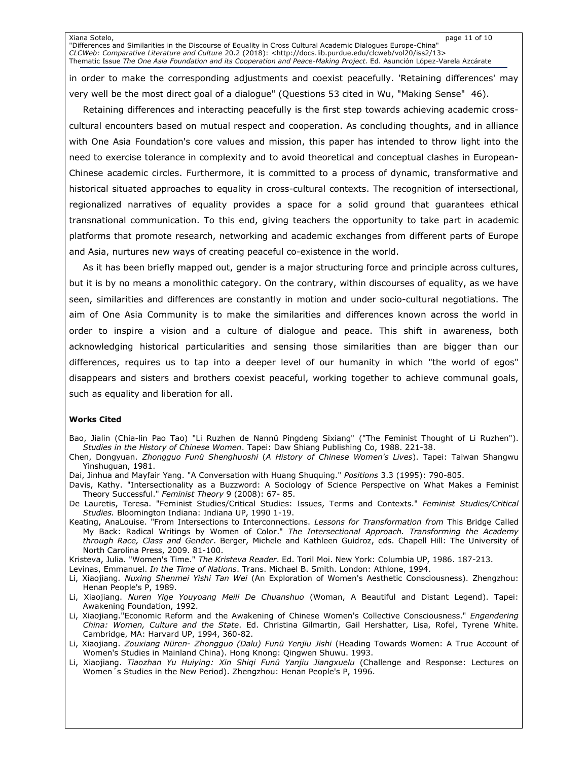Xiana Sotelo, page 11 of 10 "Differences and Similarities in the Discourse of Equality in Cross Cultural Academic Dialogues Europe-China" *CLCWeb: Comparative Literature and Culture* 20.2 (2018): [<http://docs.lib.purdue.edu/clcweb/vol20/iss2/13>](http://docs.lib.purdue.edu/clcweb/vol20/iss2/13%3e) Thematic Issue *The One Asia Foundation and its Cooperation and Peace-Making Project.* Ed. Asunción López-Varela Azcárate

in order to make the corresponding adjustments and coexist peacefully. 'Retaining differences' may very well be the most direct goal of a dialogue" (Questions 53 cited in Wu, "Making Sense" 46).

Retaining differences and interacting peacefully is the first step towards achieving academic crosscultural encounters based on mutual respect and cooperation. As concluding thoughts, and in alliance with One Asia Foundation's core values and mission, this paper has intended to throw light into the need to exercise tolerance in complexity and to avoid theoretical and conceptual clashes in European-Chinese academic circles. Furthermore, it is committed to a process of dynamic, transformative and historical situated approaches to equality in cross-cultural contexts. The recognition of intersectional, regionalized narratives of equality provides a space for a solid ground that guarantees ethical transnational communication. To this end, giving teachers the opportunity to take part in academic platforms that promote research, networking and academic exchanges from different parts of Europe and Asia, nurtures new ways of creating peaceful co-existence in the world.

As it has been briefly mapped out, gender is a major structuring force and principle across cultures, but it is by no means a monolithic category. On the contrary, within discourses of equality, as we have seen, similarities and differences are constantly in motion and under socio-cultural negotiations. The aim of One Asia Community is to make the similarities and differences known across the world in order to inspire a vision and a culture of dialogue and peace. This shift in awareness, both acknowledging historical particularities and sensing those similarities than are bigger than our differences, requires us to tap into a deeper level of our humanity in which "the world of egos" disappears and sisters and brothers coexist peaceful, working together to achieve communal goals, such as equality and liberation for all.

### **Works Cited**

Bao, Jialin (Chia-lin Pao Tao) "Li Ruzhen de Nannü Pingdeng Sixiang" ("The Feminist Thought of Li Ruzhen"). *Studies in the History of Chinese Women*. Tapei: Daw Shiang Publishing Co, 1988. 221-38.

- Chen, Dongyuan. *Zhongguo Funü Shenghuoshi* (*A History of Chinese Women's Lives*). Tapei: Taiwan Shangwu Yinshuguan, 1981.
- Dai, Jinhua and Mayfair Yang. "A Conversation with Huang Shuquing." *Positions* 3.3 (1995): 790-805.
- Davis, Kathy. "Intersectionality as a Buzzword: A Sociology of Science Perspective on What Makes a Feminist Theory Successful." *Feminist Theory* 9 (2008): 67- 85.
- De Lauretis, Teresa. "Feminist Studies/Critical Studies: Issues, Terms and Contexts." *Feminist Studies/Critical Studies.* Bloomington Indiana: Indiana UP, 1990 1-19.
- Keating, AnaLouise. "From Intersections to Interconnections. *Lessons for Transformation from* This Bridge Called My Back: Radical Writings by Women of Color." *The Intersectional Approach. Transforming the Academy through Race, Class and Gender*. Berger, Michele and Kathleen Guidroz, eds. Chapell Hill: The University of North Carolina Press, 2009. 81-100.

Kristeva, Julia. "Women's Time." *The Kristeva Reader*. Ed. Toril Moi. New York: Columbia UP, 1986. 187-213.

- Levinas, Emmanuel. *In the Time of Nations*. Trans. Michael B. Smith. London: Athlone, 1994.
- Li, Xiaojiang*. Nuxing Shenmei Yishi Tan Wei* (An Exploration of Women's Aesthetic Consciousness). Zhengzhou: Henan People's P, 1989.
- Li, Xiaojiang. *Nuren Yige Youyoang Meili De Chuanshuo* (Woman, A Beautiful and Distant Legend). Tapei: Awakening Foundation, 1992.
- Li, Xiaojiang."Economic Reform and the Awakening of Chinese Women's Collective Consciousness." *Engendering China: Women, Culture and the State*. Ed. Christina Gilmartin, Gail Hershatter, Lisa, Rofel, Tyrene White. Cambridge, MA: Harvard UP, 1994, 360-82.
- Li, Xiaojiang. *Zouxiang Nüren- Zhongguo (Dalu) Funü Yenjiu Jishi* (Heading Towards Women: A True Account of Women's Studies in Mainland China). Hong Knong: Qingwen Shuwu. 1993.
- Li, Xiaojiang. *Tiaozhan Yu Huiying: Xin Shiqi Funü Yanjiu Jiangxuelu* (Challenge and Response: Lectures on Women´s Studies in the New Period). Zhengzhou: Henan People's P, 1996.